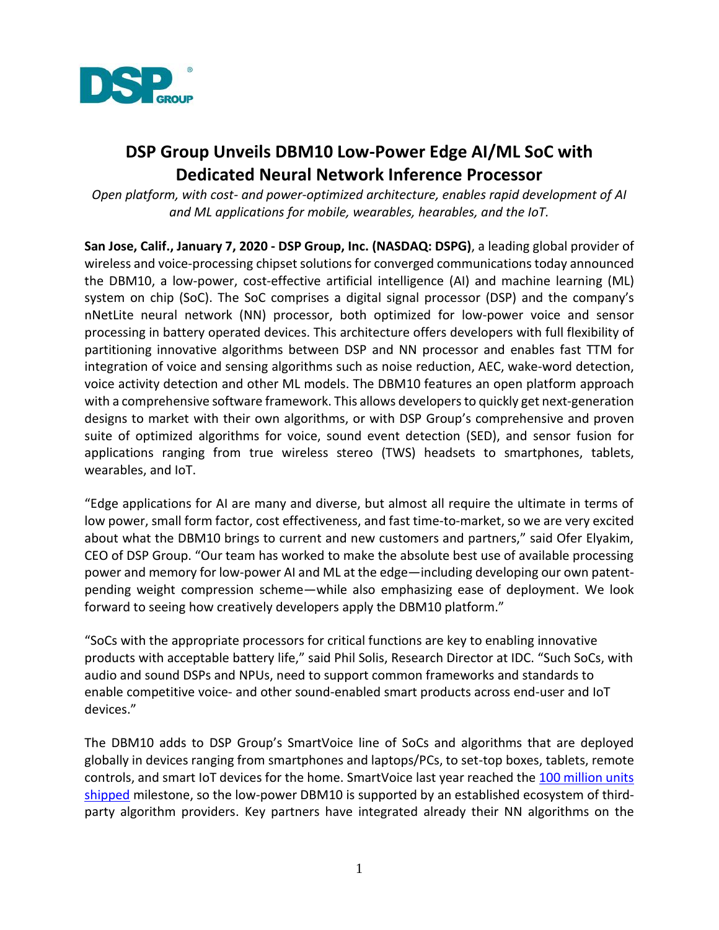

## **DSP Group Unveils DBM10 Low-Power Edge AI/ML SoC with Dedicated Neural Network Inference Processor**

*Open platform, with cost- and power-optimized architecture, enables rapid development of AI and ML applications for mobile, wearables, hearables, and the IoT.*

**San Jose, Calif., January 7, 2020 - DSP Group, Inc. (NASDAQ: DSPG)**, a leading global provider of wireless and voice-processing chipset solutions for converged communications today announced the DBM10, a low-power, cost-effective artificial intelligence (AI) and machine learning (ML) system on chip (SoC). The SoC comprises a digital signal processor (DSP) and the company's nNetLite neural network (NN) processor, both optimized for low-power voice and sensor processing in battery operated devices. This architecture offers developers with full flexibility of partitioning innovative algorithms between DSP and NN processor and enables fast TTM for integration of voice and sensing algorithms such as noise reduction, AEC, wake-word detection, voice activity detection and other ML models. The DBM10 features an open platform approach with a comprehensive software framework. This allows developersto quickly get next-generation designs to market with their own algorithms, or with DSP Group's comprehensive and proven suite of optimized algorithms for voice, sound event detection (SED), and sensor fusion for applications ranging from true wireless stereo (TWS) headsets to smartphones, tablets, wearables, and IoT.

"Edge applications for AI are many and diverse, but almost all require the ultimate in terms of low power, small form factor, cost effectiveness, and fast time-to-market, so we are very excited about what the DBM10 brings to current and new customers and partners," said Ofer Elyakim, CEO of DSP Group. "Our team has worked to make the absolute best use of available processing power and memory for low-power AI and ML at the edge—including developing our own patentpending weight compression scheme—while also emphasizing ease of deployment. We look forward to seeing how creatively developers apply the DBM10 platform."

"SoCs with the appropriate processors for critical functions are key to enabling innovative products with acceptable battery life," said Phil Solis, Research Director at IDC. "Such SoCs, with audio and sound DSPs and NPUs, need to support common frameworks and standards to enable competitive voice- and other sound-enabled smart products across end-user and IoT devices."

The DBM10 adds to DSP Group's SmartVoice line of SoCs and algorithms that are deployed globally in devices ranging from smartphones and laptops/PCs, to set-top boxes, tablets, remote controls, and smart IoT devices for the home. SmartVoice last year reached the [100 million units](http://ir.dspg.com/news-releases/news-release-details/dsp-group-ships-100-millionth-smartvoice-soc)  [shipped](http://ir.dspg.com/news-releases/news-release-details/dsp-group-ships-100-millionth-smartvoice-soc) milestone, so the low-power DBM10 is supported by an established ecosystem of thirdparty algorithm providers. Key partners have integrated already their NN algorithms on the